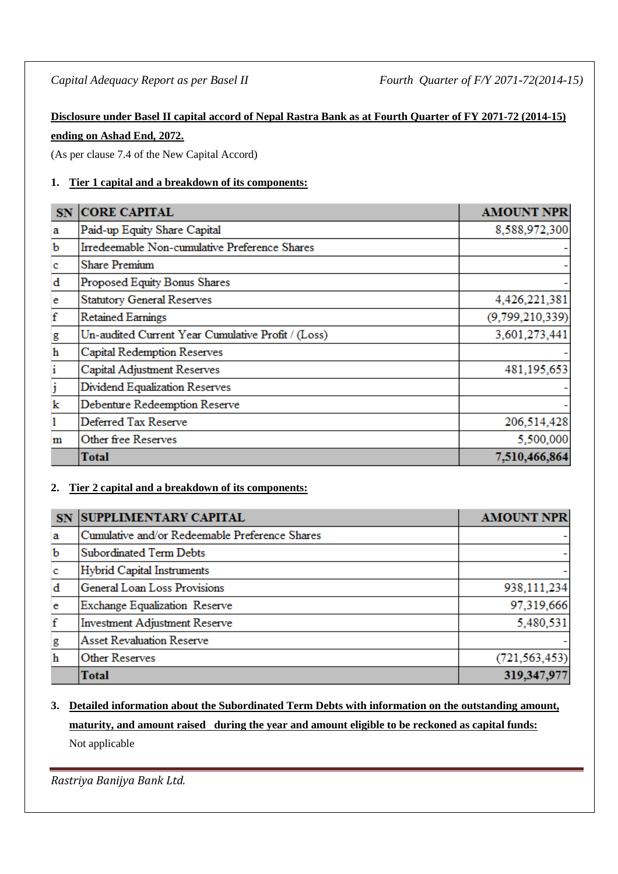# **Disclosure under Basel II capital accord of Nepal Rastra Bank as at Fourth Quarter of FY 2071-72 (2014-15) ending on Ashad End, 2072.**

(As per clause 7.4 of the New Capital Accord)

# **1. Tier 1 capital and a breakdown of its components:**

| SN           | <b>CORE CAPITAL</b>                                | <b>AMOUNT NPR</b> |
|--------------|----------------------------------------------------|-------------------|
| a            | Paid-up Equity Share Capital                       | 8,588,972,300     |
| $\mathbf b$  | Irredeemable Non-cumulative Preference Shares      |                   |
| c            | <b>Share Premium</b>                               |                   |
| $\mathbf d$  | Proposed Equity Bonus Shares                       |                   |
| e            | <b>Statutory General Reserves</b>                  | 4,426,221,381     |
| $\mathbf f$  | <b>Retained Earnings</b>                           | (9,799,210,339)   |
| g            | Un-audited Current Year Cumulative Profit / (Loss) | 3,601,273,441     |
| $\,$ h       | Capital Redemption Reserves                        |                   |
| $\mathbf{i}$ | Capital Adjustment Reserves                        | 481,195,653       |
| j            | Dividend Equalization Reserves                     |                   |
| k            | Debenture Redeemption Reserve                      |                   |
| 1            | Deferred Tax Reserve                               | 206,514,428       |
| m            | Other free Reserves                                | 5,500,000         |
|              | Total                                              | 7,510,466,864     |

# **2. Tier 2 capital and a breakdown of its components:**

| <b>SN</b>   | <b>SUPPLIMENTARY CAPITAL</b>                   | <b>AMOUNT NPR</b> |
|-------------|------------------------------------------------|-------------------|
| a           | Cumulative and/or Redeemable Preference Shares |                   |
| $\mathbf b$ | Subordinated Term Debts                        |                   |
| $\mathbf c$ | Hybrid Capital Instruments                     |                   |
| d           | General Loan Loss Provisions                   | 938,111,234       |
| e           | Exchange Equalization Reserve                  | 97,319,666        |
| f           | <b>Investment Adjustment Reserve</b>           | 5,480,531         |
| g           | <b>Asset Revaluation Reserve</b>               |                   |
| $\mathbf h$ | <b>Other Reserves</b>                          | (721, 563, 453)   |
|             | <b>Total</b>                                   | 319,347,977       |

# **3. Detailed information about the Subordinated Term Debts with information on the outstanding amount, maturity, and amount raised during the year and amount eligible to be reckoned as capital funds:**

Not applicable

*Rastriya Banijya Bank Ltd.*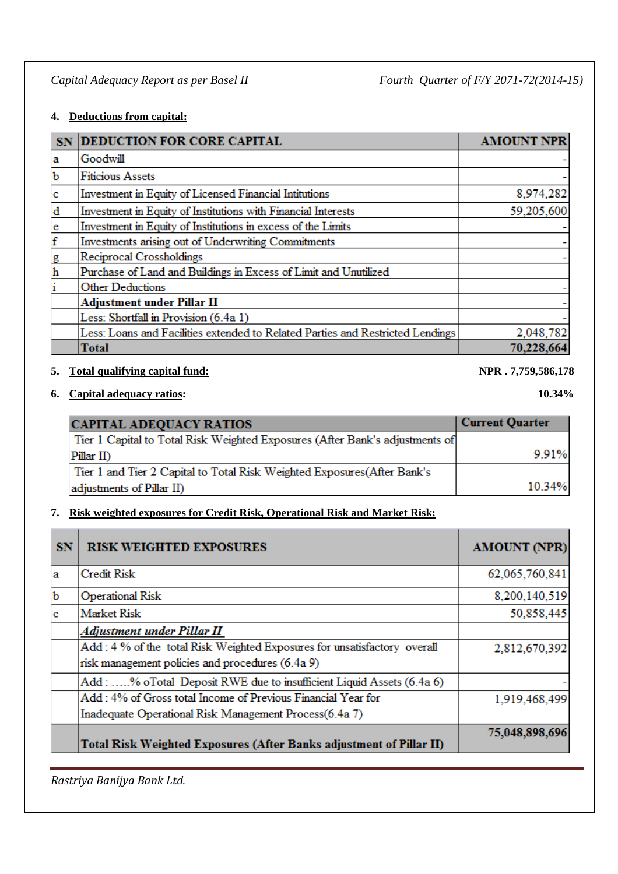## **4. Deductions from capital:**

| <b>SN</b>    | <b>DEDUCTION FOR CORE CAPITAL</b>                                              | <b>AMOUNT NPR</b> |
|--------------|--------------------------------------------------------------------------------|-------------------|
| a            | Goodwill                                                                       |                   |
| b            | <b>Fiticious Assets</b>                                                        |                   |
| $\mathbf{c}$ | Investment in Equity of Licensed Financial Intitutions                         | 8,974,282         |
| d            | Investment in Equity of Institutions with Financial Interests                  | 59,205,600        |
| $\mathbf{e}$ | Investment in Equity of Institutions in excess of the Limits                   |                   |
| $\mathbf f$  | Investments arising out of Underwriting Commitments                            |                   |
| g            | Reciprocal Crossholdings                                                       |                   |
| $\mathbf h$  | Purchase of Land and Buildings in Excess of Limit and Unutilized               |                   |
|              | <b>Other Deductions</b>                                                        |                   |
|              | <b>Adjustment under Pillar II</b>                                              |                   |
|              | Less: Shortfall in Provision (6.4a 1)                                          |                   |
|              | Less: Loans and Facilities extended to Related Parties and Restricted Lendings | 2,048,782         |
|              | Total                                                                          | 70,228,664        |

#### **5. Total qualifying capital fund: NPR . 7,759,586,178**

**6. Capital adequacy ratios: 10.34%**

| <b>CAPITAL ADEQUACY RATIOS</b>                                               | Current Quarter |
|------------------------------------------------------------------------------|-----------------|
| Tier 1 Capital to Total Risk Weighted Exposures (After Bank's adjustments of |                 |
| $Pillar$ II)                                                                 | 9.91%           |
| Tier 1 and Tier 2 Capital to Total Risk Weighted Exposures (After Bank's     |                 |
| adjustments of Pillar II)                                                    | 10.34%          |

# **7. Risk weighted exposures for Credit Risk, Operational Risk and Market Risk:**

| <b>SN</b>   | <b>RISK WEIGHTED EXPOSURES</b>                                           | <b>AMOUNT (NPR)</b> |
|-------------|--------------------------------------------------------------------------|---------------------|
| a           | Credit Risk                                                              | 62,065,760,841      |
| $\mathbf b$ | <b>Operational Risk</b>                                                  | 8,200,140,519       |
| c           | <b>Market Risk</b>                                                       | 50,858,445          |
|             | Adjustment under Pillar II                                               |                     |
|             | Add: 4 % of the total Risk Weighted Exposures for unsatisfactory overall | 2,812,670,392       |
|             | risk management policies and procedures (6.4a 9)                         |                     |
|             | Add: % oTotal Deposit RWE due to insufficient Liquid Assets (6.4a 6)     |                     |
|             | Add: 4% of Gross total Income of Previous Financial Year for             | 1,919,468,499       |
|             | Inadequate Operational Risk Management Process(6.4a 7)                   |                     |
|             | Total Risk Weighted Exposures (After Banks adjustment of Pillar II)      | 75,048,898,696      |

*Rastriya Banijya Bank Ltd.*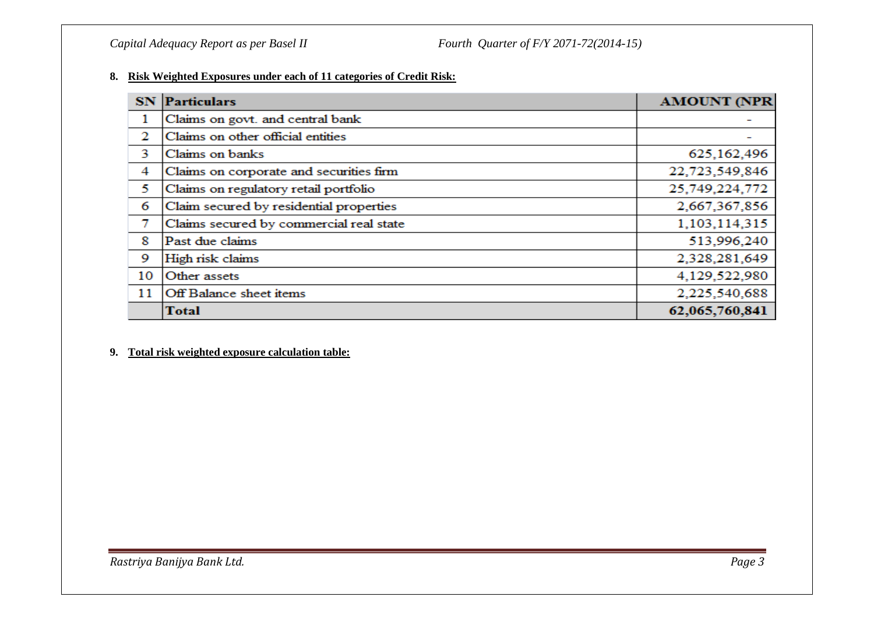#### **8. Risk Weighted Exposures under each of 11 categories of Credit Risk:**

|    | <b>SN</b> Particulars                   | <b>AMOUNT (NPR</b> |
|----|-----------------------------------------|--------------------|
| 1  | Claims on govt. and central bank        |                    |
| 2  | Claims on other official entities       |                    |
| 3  | Claims on banks                         | 625, 162, 496      |
| 4  | Claims on corporate and securities firm | 22,723,549,846     |
| 5  | Claims on regulatory retail portfolio   | 25,749,224,772     |
| 6  | Claim secured by residential properties | 2,667,367,856      |
| 7  | Claims secured by commercial real state | 1,103,114,315      |
| 8  | Past due claims                         | 513,996,240        |
| 9  | High risk claims                        | 2,328,281,649      |
| 10 | Other assets                            | 4,129,522,980      |
| 11 | <b>Off Balance sheet items</b>          | 2,225,540,688      |
|    | <b>Total</b>                            | 62,065,760,841     |

#### **9. Total risk weighted exposure calculation table:**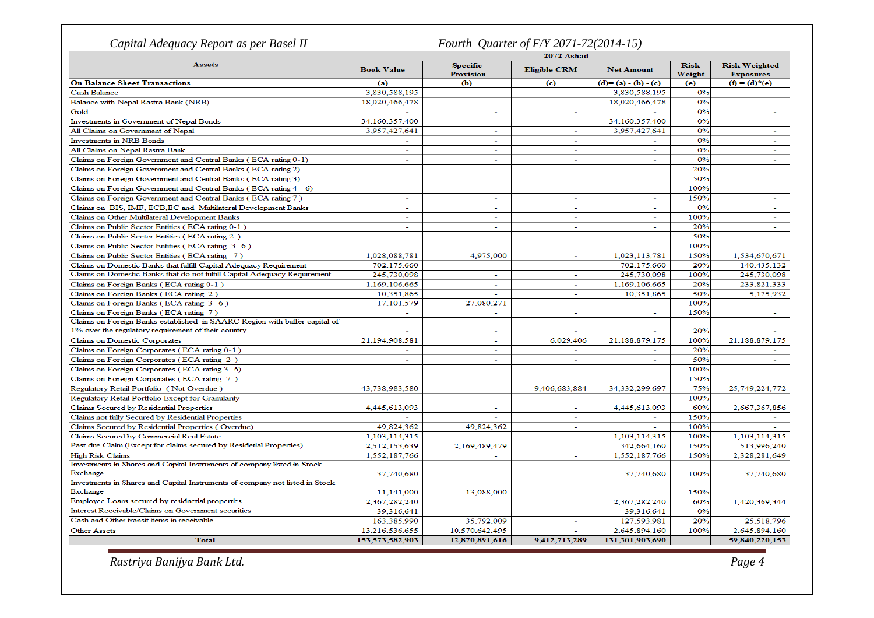| Capital Adequacy Report as per Basel II                                                                                                         |                          | Fourth Quarter of F/Y 2071-72(2014-15) |                             |                          |                       |                                          |
|-------------------------------------------------------------------------------------------------------------------------------------------------|--------------------------|----------------------------------------|-----------------------------|--------------------------|-----------------------|------------------------------------------|
|                                                                                                                                                 | 2072 Ashad               |                                        |                             |                          |                       |                                          |
| <b>Assets</b>                                                                                                                                   | <b>Book Value</b>        | <b>Specific</b><br><b>Provision</b>    | <b>Eligible CRM</b>         | <b>Net Amount</b>        | <b>Risk</b><br>Weight | <b>Risk Weighted</b><br><b>Exposures</b> |
| <b>On Balance Sheet Transactions</b>                                                                                                            | (a)                      | <b>(b)</b>                             | $\left( \mathbf{c} \right)$ | $(d)=(a)-(b)-(c)$        | (e)                   | $(f) = (d)^*(e)$                         |
| <b>Cash Balance</b>                                                                                                                             | 3,830,588,195            | $\sim$                                 | $\sim$                      | 3,830,588,195            | 0%                    |                                          |
| Balance with Nepal Rastra Bank (NRB)                                                                                                            | 18,020,466,478           | $\sim$                                 | $\sim$                      | 18,020,466,478           | 0%                    | $\overline{a}$                           |
| Gold                                                                                                                                            |                          | $\sim$                                 | ÷.                          |                          | 0%                    | $\overline{\phantom{a}}$                 |
| Investments in Government of Nepal Bonds                                                                                                        | 34,160,357,400           | $\sim$                                 | $\sim$                      | 34,160,357,400           | 0%                    | $\sim$                                   |
| All Claims on Government of Nepal                                                                                                               | 3,957,427,641            | $\sim$                                 | ÷                           | 3,957,427,641            | 0%                    | $\sim$                                   |
| <b>Investments in NRB Bonds</b>                                                                                                                 | ÷.                       | $\sim$                                 | $\sim$                      | $\sim$                   | 0%                    | $\sim$                                   |
| All Claims on Nepal Rastra Bank                                                                                                                 | $\overline{\phantom{0}}$ | $\sim$                                 | ÷                           |                          | 0%                    | $\overline{\phantom{0}}$                 |
| Claims on Foreign Government and Central Banks (ECA rating 0-1)                                                                                 | ÷.                       | $\sim$                                 | ÷.                          | ٠                        | 0%                    | ۰                                        |
| Claims on Foreign Government and Central Banks (ECA rating 2)                                                                                   | $\sim$                   | $\sim$                                 | $\sim$                      | $\sim$                   | 20%                   | $\sim$                                   |
| Claims on Foreign Government and Central Banks (ECA rating 3)                                                                                   | ٠                        |                                        | ٠                           |                          | 50%                   | $\overline{\phantom{a}}$                 |
| Claims on Foreign Government and Central Banks (ECA rating 4 - 6)                                                                               | $\equiv$                 | $\sim$                                 | $\sim$                      | $\sim$                   | 100%                  | $\sim$                                   |
| Claims on Foreign Government and Central Banks (ECA rating 7)                                                                                   | ä,                       | $\overline{\phantom{a}}$               | ä,                          |                          | 150%                  | ÷.                                       |
| Claims on BIS, IMF, ECB,EC and Multilateral Development Banks                                                                                   | ÷                        | $\sim$                                 | ÷                           | $\overline{\phantom{a}}$ | 0%                    | $\sim$                                   |
| Claims on Other Multilateral Development Banks                                                                                                  | ÷                        | $\sim$                                 | $\sim$                      | $\sim$                   | 100%                  | $\sim$                                   |
| Claims on Public Sector Entities (ECA rating 0-1)                                                                                               | $\sim$                   | $\sim$                                 | $\sim$                      |                          | 20%                   | ÷,                                       |
| Claims on Public Sector Entities (ECA rating 2)                                                                                                 | $\sim$                   | ÷.                                     | ÷.                          | $\sim$                   | 50%                   | $\sim$                                   |
| Claims on Public Sector Entities (ECA rating 3-6)                                                                                               |                          |                                        | ä,                          |                          | 100%                  |                                          |
| Claims on Public Sector Entities (ECA rating 7)                                                                                                 | 1,028,088,781            | 4,975,000                              | ÷                           | 1,023,113,781            | 150%                  | 1,534,670,671                            |
|                                                                                                                                                 | 702,175,660              | $\mathcal{L}_{\mathcal{A}}$            | $\sim$                      | 702,175,660              | 20%                   | 140,435,132                              |
| Claims on Domestic Banks that fulfill Capital Adequacy Requirement<br>Claims on Domestic Banks that do not fulfill Capital Adequacy Requirement |                          |                                        |                             |                          | 100%                  |                                          |
|                                                                                                                                                 | 245,730,098              | $\sim$                                 | $\blacksquare$              | 245,730,098              |                       | 245,730,098                              |
| Claims on Foreign Banks (ECA rating 0-1)                                                                                                        | 1,169,106,665            | $\sim$                                 | $\sim$                      | 1,169,106,665            | 20%                   | 233,821,333                              |
| Claims on Foreign Banks (ECA rating 2)                                                                                                          | 10.351.865               |                                        |                             | 10,351,865               | 50%                   | 5,175,932                                |
| Claims on Foreign Banks (ECA rating 3-6)                                                                                                        | 17,101,579               | 27,080,271                             | ш.                          |                          | 100%                  |                                          |
| Claims on Foreign Banks (ECA rating 7)                                                                                                          |                          | $\sim$                                 | ÷.                          | $\sim$                   | 150%                  | $\sim$                                   |
| Claims on Foreign Banks established in SAARC Region with buffer capital of                                                                      |                          |                                        |                             |                          |                       |                                          |
| 1% over the regulatory requirement of their country                                                                                             |                          |                                        |                             |                          | 20%                   |                                          |
| Claims on Domestic Corporates                                                                                                                   | 21.194.908.581           | $\sim$                                 | 6.029.406                   | 21.188.879.175           | 100%                  | 21.188.879.175                           |
| Claims on Foreign Corporates (ECA rating 0-1)                                                                                                   | $\sim$                   | $\sim$                                 | $\overline{\phantom{a}}$    | $\sim$                   | 20%                   |                                          |
| Claims on Foreign Corporates (ECA rating 2)                                                                                                     | $\sim$                   | ÷.                                     | ÷.                          | $\sim$                   | 50%                   | $\sim$                                   |
| Claims on Foreign Corporates (ECA rating 3 -6)                                                                                                  |                          |                                        | ä,                          |                          | 100%                  |                                          |
| Claims on Foreign Corporates (ECA rating 7)                                                                                                     |                          | $\sim$                                 |                             |                          | 150%                  |                                          |
| Regulatory Retail Portfolio (Not Overdue)                                                                                                       | 43,738,983,580           | $\sim$                                 | 9,406,683,884               | 34,332,299,697           | 75%                   | 25,749,224,772                           |
| Regulatory Retail Portfolio Except for Granularity                                                                                              |                          | $\sim$                                 | $\overline{\phantom{a}}$    |                          | 100%                  |                                          |
| Claims Secured by Residential Properties                                                                                                        | 4,445,613,093            | $\sim$                                 | $\sim$                      | 4,445,613,093            | 60%                   | 2,667,367,856                            |
| Claims not fully Secured by Residential Properties                                                                                              |                          |                                        | ÷.                          |                          | 150%                  |                                          |
| Claims Secured by Residential Properties (Overdue)                                                                                              | 49,824,362               | 49,824,362                             | a.                          |                          | 100%                  |                                          |
| Claims Secured by Commercial Real Estate                                                                                                        | 1,103,114,315            | L.                                     | $\sim$                      | 1,103,114,315            | 100%                  | 1,103,114,315                            |
| Past due Claim (Except for claims secured by Residetial Properties)                                                                             | 2,512,153,639            | 2,169,489,479                          | $\overline{\phantom{a}}$    | 342,664,160              | 150%                  | 513,996,240                              |
| <b>High Risk Claims</b>                                                                                                                         | 1,552,187,766            | $\sim$                                 | $\sim$                      | 1,552,187,766            | 150%                  | 2,328,281,649                            |
| Investments in Shares and Capital Instruments of company listed in Stock                                                                        |                          |                                        |                             |                          |                       |                                          |
| Exchange                                                                                                                                        | 37,740,680               |                                        |                             | 37,740,680               | 100%                  | 37,740,680                               |
| Investments in Shares and Capital Instruments of company not listed in Stock                                                                    |                          |                                        |                             |                          |                       |                                          |
| Exchange                                                                                                                                        | 11,141,000               | 13,088,000                             |                             |                          | 150%                  |                                          |
| Employee Loans secured by residnetial properties                                                                                                | 2,367,282,240            |                                        | $\sim$                      | 2,367,282,240            | 60%                   | 1,420,369,344                            |
| Interest Receivable/Claims on Government securities                                                                                             | 39,316,641               |                                        | ÷.                          | 39,316,641               | 0%                    |                                          |
| Cash and Other transit items in receivable                                                                                                      | 163,385,990              | 35,792,009                             | $\sim$                      | 127,593,981              | 20%                   | 25,518,796                               |
| <b>Other Assets</b>                                                                                                                             | 13,216,536,655           | 10,570,642,495                         |                             | 2,645,894,160            | 100%                  | 2.645.894.160                            |
| <b>Total</b>                                                                                                                                    | 153,573,582,903          | 12,870,891,616                         | 9,412,713,289               | 131,301,903,690          |                       | 59,840,220,153                           |

*Rastriya Banijya Bank Ltd. Page 4*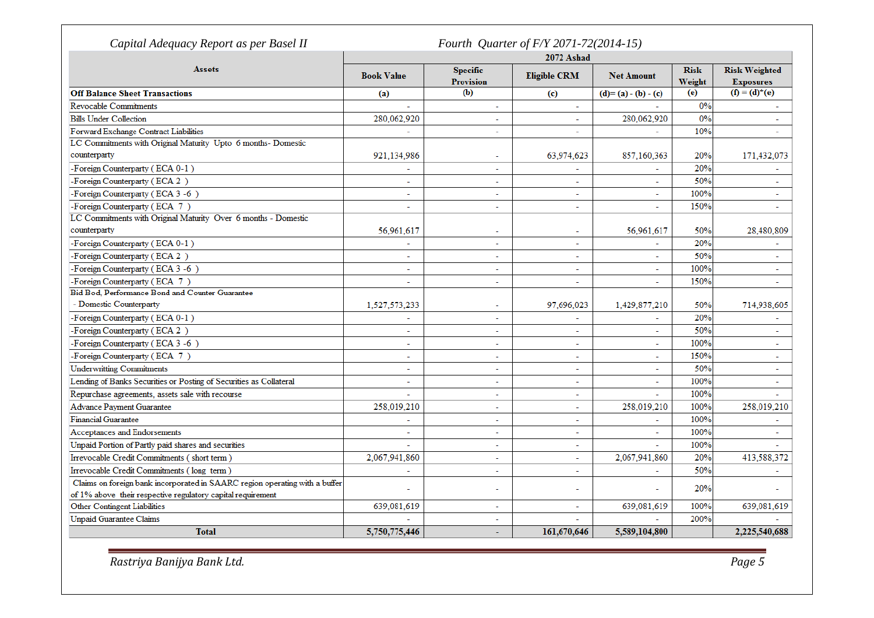|                                                                             | Fourth Quarter of F/Y 2071-72(2014-15)<br>2072 Ashad |                                     |                             |                   |                       |                                          |  |
|-----------------------------------------------------------------------------|------------------------------------------------------|-------------------------------------|-----------------------------|-------------------|-----------------------|------------------------------------------|--|
| <b>Assets</b>                                                               | <b>Book Value</b>                                    | <b>Specific</b><br><b>Provision</b> | <b>Eligible CRM</b>         | <b>Net Amount</b> | <b>Risk</b><br>Weight | <b>Risk Weighted</b><br><b>Exposures</b> |  |
| <b>Off Balance Sheet Transactions</b>                                       | (a)                                                  | (b)                                 | $\left( \mathbf{c} \right)$ | $(d)=(a)-(b)-(c)$ | (e)                   | $(f) = (d)^*(e)$                         |  |
| <b>Revocable Commitments</b>                                                |                                                      |                                     | $\sim$                      |                   | 0%                    |                                          |  |
| <b>Bills Under Collection</b>                                               | 280.062.920                                          | L.                                  | $\equiv$                    | 280,062,920       | 0%                    | L.                                       |  |
| Forward Exchange Contract Liabilities                                       |                                                      | ÷.                                  | $\sim$                      |                   | 10%                   | ٠                                        |  |
| LC Commitments with Original Maturity Upto 6 months- Domestic               |                                                      |                                     |                             |                   |                       |                                          |  |
| counterparty                                                                | 921,134,986                                          |                                     | 63,974,623                  | 857,160,363       | 20%                   | 171,432,073                              |  |
| -Foreign Counterparty (ECA 0-1)                                             |                                                      | $\overline{a}$                      | $\mathbf{r}$                |                   | 20%                   |                                          |  |
| -Foreign Counterparty (ECA 2)                                               | ۰                                                    | ٠                                   | $\sim$                      | ÷.                | 50%                   |                                          |  |
| -Foreign Counterparty (ECA 3-6)                                             | L.                                                   | ÷.                                  | $\mathbf{r}$                | ä,                | 100%                  | ä,                                       |  |
| -Foreign Counterparty (ECA 7)                                               | $\overline{a}$                                       | $\blacksquare$                      | $\sim$                      | ÷.                | 150%                  | $\overline{\phantom{a}}$                 |  |
| LC Commitments with Original Maturity Over 6 months - Domestic              |                                                      |                                     |                             |                   |                       |                                          |  |
| counterparty                                                                | 56.961.617                                           |                                     | $\overline{a}$              | 56.961.617        | 50%                   | 28,480,809                               |  |
| -Foreign Counterparty (ECA 0-1)                                             |                                                      | $\overline{a}$                      | $\overline{a}$              |                   | 20%                   |                                          |  |
| -Foreign Counterparty (ECA 2)                                               | ÷                                                    | ÷.                                  | $\sim$                      | ÷                 | 50%                   |                                          |  |
| -Foreign Counterparty (ECA 3 -6)                                            | L.                                                   | $\overline{a}$                      | $\overline{a}$              | L.                | 100%                  | $\overline{a}$                           |  |
| -Foreign Counterparty (ECA 7)                                               | L.                                                   | ä,                                  | $\sim$                      | ÷.                | 150%                  | ÷.                                       |  |
| Bid Bod, Performance Bond and Counter Guarantee                             |                                                      |                                     |                             |                   |                       |                                          |  |
| - Domestic Counterparty                                                     | 1,527,573,233                                        | $\overline{a}$                      | 97,696,023                  | 1,429,877,210     | 50%                   | 714,938,605                              |  |
| -Foreign Counterparty (ECA 0-1)                                             | ÷.                                                   | ä,                                  | ÷.                          |                   | 20%                   |                                          |  |
| -Foreign Counterparty (ECA 2)                                               | ۰                                                    | ۰                                   | $\blacksquare$              | ۰                 | 50%                   |                                          |  |
| -Foreign Counterparty (ECA 3 -6)                                            | L.                                                   | L.                                  | L.                          | L.                | 100%                  | ÷.                                       |  |
| -Foreign Counterparty (ECA 7)                                               | ÷.                                                   | $\equiv$                            | $\sim$                      | ٠                 | 150%                  | ٠                                        |  |
| <b>Underwritting Commitments</b>                                            | ÷.                                                   | $\tilde{\phantom{a}}$               | $\overline{a}$              | ÷.                | 50%                   | ٠                                        |  |
| Lending of Banks Securities or Posting of Securities as Collateral          | $\sim$                                               | ÷.                                  | $\sim$                      |                   | 100%                  | ٠                                        |  |
| Repurchase agreements, assets sale with recourse                            | ٠                                                    | $\ddot{\phantom{1}}$                | $\sim$                      | ٠                 | 100%                  |                                          |  |
| <b>Advance Payment Guarantee</b>                                            | 258,019,210                                          | $\overline{a}$                      | $\sim$                      | 258,019,210       | 100%                  | 258,019,210                              |  |
| <b>Financial Guarantee</b>                                                  |                                                      | $\overline{\phantom{a}}$            | $\sim$                      |                   | 100%                  |                                          |  |
| Acceptances and Endorsements                                                | L.                                                   | $\overline{a}$                      | $\overline{a}$              | ä,                | 100%                  | L,                                       |  |
| Unpaid Portion of Partly paid shares and securities                         | ÷.                                                   | ÷.                                  | $\sim$                      | $\equiv$          | 100%                  |                                          |  |
| Irrevocable Credit Commitments (short term)                                 | 2,067,941,860                                        | ÷.                                  | $\mathbf{r}$                | 2,067,941,860     | 20%                   | 413,588,372                              |  |
| Irrevocable Credit Commitments (long term)                                  |                                                      | ä,                                  | ÷                           |                   | 50%                   |                                          |  |
| Claims on foreign bank incorporated in SAARC region operating with a buffer |                                                      |                                     |                             |                   |                       |                                          |  |
| of 1% above their respective regulatory capital requirement                 |                                                      | $\overline{a}$                      | $\overline{\phantom{0}}$    | ÷,                | 20%                   |                                          |  |
| Other Contingent Liabilities                                                | 639,081,619                                          | ä,                                  | ÷.                          | 639,081,619       | 100%                  | 639,081,619                              |  |
| <b>Unpaid Guarantee Claims</b>                                              |                                                      | ÷                                   |                             |                   | 200%                  |                                          |  |
| <b>Total</b>                                                                | 5,750,775,446                                        | ÷                                   | 161,670,646                 | 5,589,104,800     |                       | 2,225,540,688                            |  |

*Rastriya Banijya Bank Ltd. Page 5*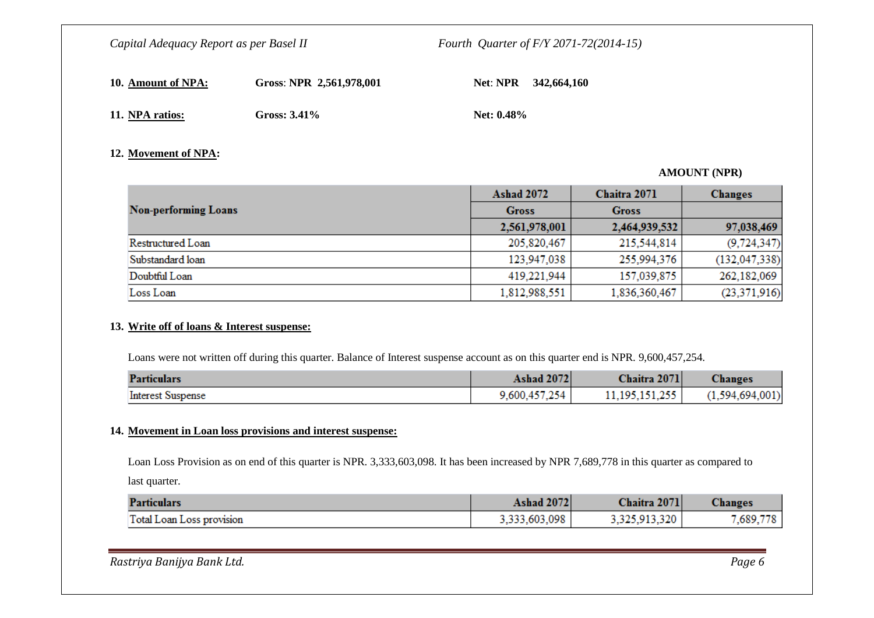| 10. Amount of NPA: | Gross: NPR 2,561,978,001 |               | Net: NPR 342,664,160 |
|--------------------|--------------------------|---------------|----------------------|
| 11. NPA ratios:    | Gross: $3.41\%$          | Net: $0.48\%$ |                      |

#### **12. Movement of NPA:**

#### **AMOUNT (NPR)**

|                             | <b>Ashad 2072</b> | Chaitra 2071  | <b>Changes</b>  |
|-----------------------------|-------------------|---------------|-----------------|
| <b>Non-performing Loans</b> | <b>Gross</b>      | <b>Gross</b>  |                 |
|                             | 2,561,978,001     | 2,464,939,532 | 97,038,469      |
| Restructured Loan           | 205,820,467       | 215,544,814   | (9, 724, 347)   |
| Substandard loan            | 123,947,038       | 255,994,376   | (132, 047, 338) |
| Doubtful Loan               | 419,221,944       | 157,039,875   | 262,182,069     |
| Loss Loan                   | 1,812,988,551     | 1,836,360,467 | (23, 371, 916)  |

#### **13. Write off of loans & Interest suspense:**

Loans were not written off during this quarter. Balance of Interest suspense account as on this quarter end is NPR. 9,600,457,254.

| <b>Particulars</b>       | <b>Ashad 2072</b> | Chaitra 2071      | <b>Changes</b>  |
|--------------------------|-------------------|-------------------|-----------------|
| <b>Interest Suspense</b> | 9,600,457,254     | 11, 195, 151, 255 | (1,594,694,001) |

#### **14. Movement in Loan loss provisions and interest suspense:**

Loan Loss Provision as on end of this quarter is NPR. 3,333,603,098. It has been increased by NPR 7,689,778 in this quarter as compared to last quarter.

| <b>Particulars</b>        | <b>Ashad 2072</b> | Chaitra 2071  | Changes   |
|---------------------------|-------------------|---------------|-----------|
| Total Loan Loss provision | 3,333,603,098     | 3,325,913,320 | 7,689,778 |

*Rastriya Banijya Bank Ltd. Page 6*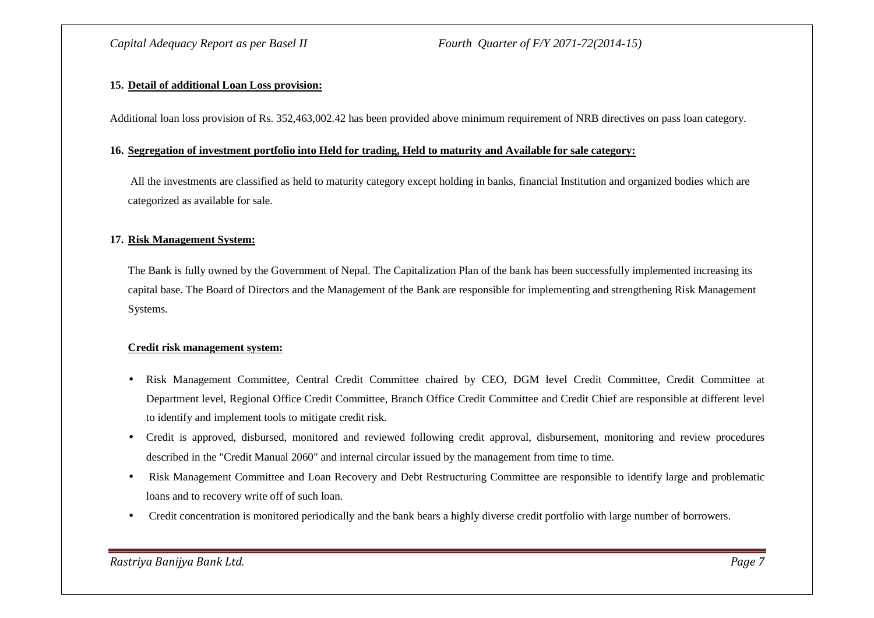#### **15. Detail of additional Loan Loss provision:**

Additional loan loss provision of Rs. 352,463,002.42 has been provided above minimum requirement of NRB directives on pass loan category.

#### **16. Segregation of investment portfolio into Held for trading, Held to maturity and Available for sale category:**

All the investments are classified as held to maturity category except holding in banks, financial Institution and organized bodies which are categorized as available for sale.

#### **17. Risk Management System:**

The Bank is fully owned by the Government of Nepal. The Capitalization Plan of the bank has been successfully implemented increasing its capital base. The Board of Directors and the Management of the Bank are responsible for implementing and strengthening Risk Management Systems.

#### **Credit risk management system:**

- • Risk Management Committee, Central Credit Committee chaired by CEO, DGM level Credit Committee, Credit Committee at Department level, Regional Office Credit Committee, Branch Office Credit Committee and Credit Chief are responsible at different level to identify and implement tools to mitigate credit risk.
- $\bullet$  Credit is approved, disbursed, monitored and reviewed following credit approval, disbursement, monitoring and review procedures described in the "Credit Manual 2060" and internal circular issued by the management from time to time.
- Risk Management Committee and Loan Recovery and Debt Restructuring Committee are responsible to identify large and problematic loans and to recovery write off of such loan.
- Credit concentration is monitored periodically and the bank bears a highly diverse credit portfolio with large number of borrowers.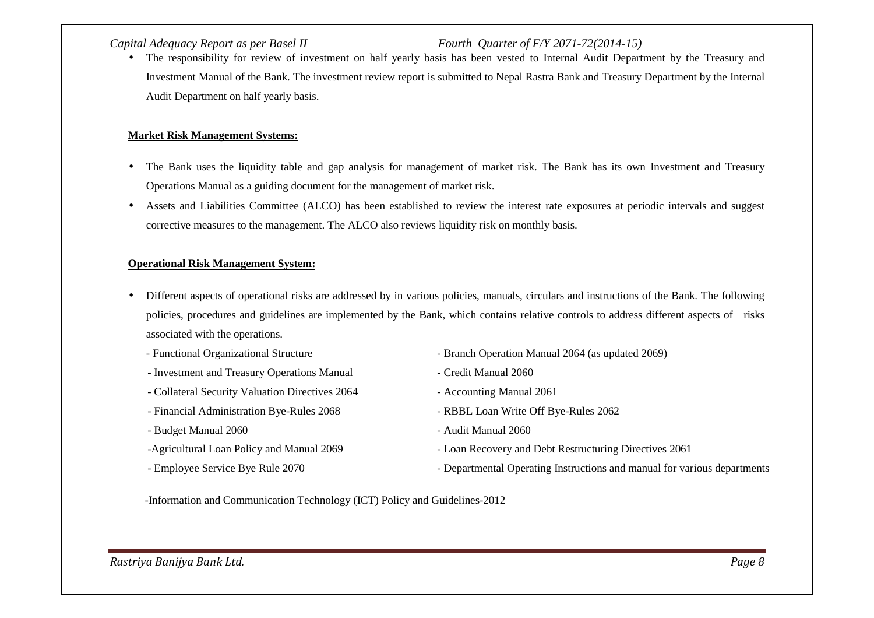The responsibility for review of investment on half yearly basis has been vested to Internal Audit Department by the Treasury and •Investment Manual of the Bank. The investment review report is submitted to Nepal Rastra Bank and Treasury Department by the Internal Audit Department on half yearly basis.

#### **Market Risk Management Systems:**

- • The Bank uses the liquidity table and gap analysis for management of market risk. The Bank has its own Investment and Treasury Operations Manual as a guiding document for the management of market risk.
- $\bullet$  Assets and Liabilities Committee (ALCO) has been established to review the interest rate exposures at periodic intervals and suggest corrective measures to the management. The ALCO also reviews liquidity risk on monthly basis.

#### **Operational Risk Management System:**

- $\bullet$  Different aspects of operational risks are addressed by in various policies, manuals, circulars and instructions of the Bank. The following policies, procedures and guidelines are implemented by the Bank, which contains relative controls to address different aspects of risks associated with the operations.
	-
	- Investment and Treasury Operations Manual Credit Manual 2060
	- Collateral Security Valuation Directives 2064 Accounting Manual 2061
	- Financial Administration Bye-Rules 2068 RBBL Loan Write Off Bye-Rules 2062
	- Budget Manual 2060 Audit Manual 2060
	-
	-
- Functional Organizational Structure Branch Operation Manual 2064 (as updated 2069)
	-
	-
	-
	-
- -Agricultural Loan Policy and Manual 2069 Loan Recovery and Debt Restructuring Directives 2061
- Employee Service Bye Rule 2070 Departmental Operating Instructions and manual for various departments

-Information and Communication Technology (ICT) Policy and Guidelines-2012